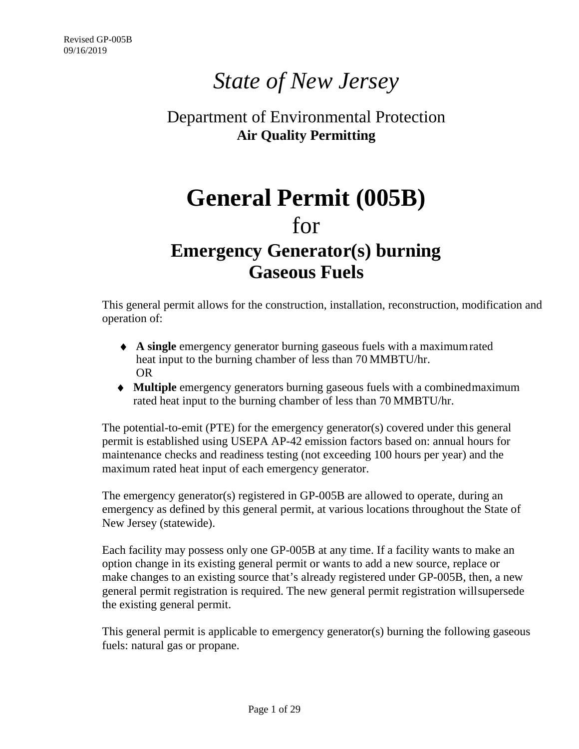# *State of New Jersey*

## Department of Environmental Protection **Air Quality Permitting**

## **General Permit (005B)** for **Emergency Generator(s) burning Gaseous Fuels**

This general permit allows for the construction, installation, reconstruction, modification and operation of:

- ♦ **A single** emergency generator burning gaseous fuels with a maximumrated heat input to the burning chamber of less than 70 MMBTU/hr. OR
- ♦ **Multiple** emergency generators burning gaseous fuels with a combinedmaximum rated heat input to the burning chamber of less than 70 MMBTU/hr.

The potential-to-emit (PTE) for the emergency generator(s) covered under this general permit is established using USEPA AP-42 emission factors based on: annual hours for maintenance checks and readiness testing (not exceeding 100 hours per year) and the maximum rated heat input of each emergency generator.

The emergency generator(s) registered in GP-005B are allowed to operate, during an emergency as defined by this general permit, at various locations throughout the State of New Jersey (statewide).

Each facility may possess only one GP-005B at any time. If a facility wants to make an option change in its existing general permit or wants to add a new source, replace or make changes to an existing source that's already registered under GP-005B, then, a new general permit registration is required. The new general permit registration willsupersede the existing general permit.

This general permit is applicable to emergency generator(s) burning the following gaseous fuels: natural gas or propane.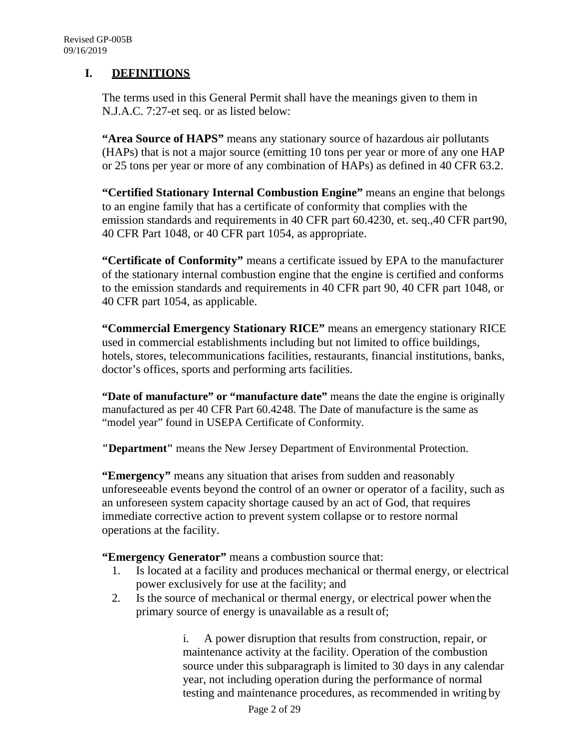#### **I. DEFINITIONS**

The terms used in this General Permit shall have the meanings given to them in N.J.A.C. 7:27-et seq. or as listed below:

**"Area Source of HAPS"** means any stationary source of hazardous air pollutants (HAPs) that is not a major source (emitting 10 tons per year or more of any one HAP or 25 tons per year or more of any combination of HAPs) as defined in 40 CFR 63.2.

**"Certified Stationary Internal Combustion Engine"** means an engine that belongs to an engine family that has a certificate of conformity that complies with the emission standards and requirements in 40 CFR part 60.4230, et. seq.,40 CFR part90, 40 CFR Part 1048, or 40 CFR part 1054, as appropriate.

**"Certificate of Conformity"** means a certificate issued by EPA to the manufacturer of the stationary internal combustion engine that the engine is certified and conforms to the emission standards and requirements in 40 CFR part 90, 40 CFR part 1048, or 40 CFR part 1054, as applicable.

**"Commercial Emergency Stationary RICE"** means an emergency stationary RICE used in commercial establishments including but not limited to office buildings, hotels, stores, telecommunications facilities, restaurants, financial institutions, banks, doctor's offices, sports and performing arts facilities.

**"Date of manufacture" or "manufacture date"** means the date the engine is originally manufactured as per 40 CFR Part 60.4248. The Date of manufacture is the same as "model year" found in USEPA Certificate of Conformity.

**"Department"** means the New Jersey Department of Environmental Protection.

**"Emergency"** means any situation that arises from sudden and reasonably unforeseeable events beyond the control of an owner or operator of a facility, such as an unforeseen system capacity shortage caused by an act of God, that requires immediate corrective action to prevent system collapse or to restore normal operations at the facility.

**"Emergency Generator"** means a combustion source that:

- 1. Is located at a facility and produces mechanical or thermal energy, or electrical power exclusively for use at the facility; and
- 2. Is the source of mechanical or thermal energy, or electrical power when the primary source of energy is unavailable as a result of;

i. A power disruption that results from construction, repair, or maintenance activity at the facility. Operation of the combustion source under this subparagraph is limited to 30 days in any calendar year, not including operation during the performance of normal testing and maintenance procedures, as recommended in writing by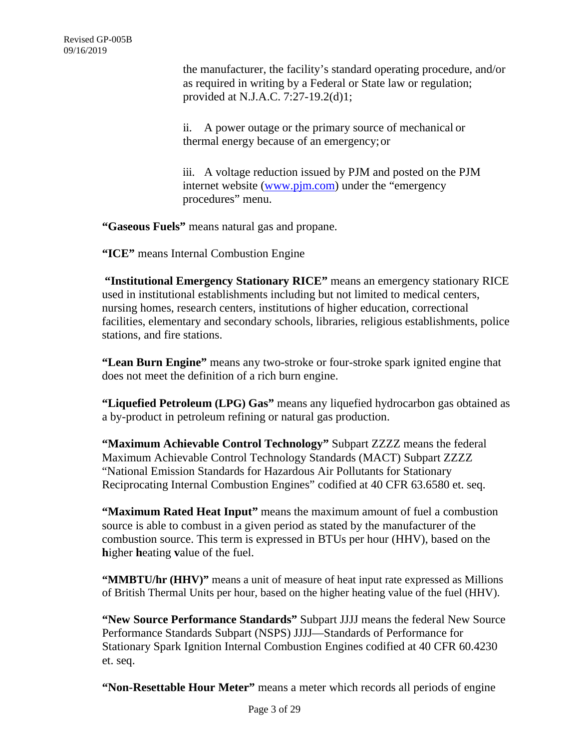the manufacturer, the facility's standard operating procedure, and/or as required in writing by a Federal or State law or regulation; provided at N.J.A.C. 7:27-19.2(d)1;

ii. A power outage or the primary source of mechanical or thermal energy because of an emergency;or

iii. A voltage reduction issued by PJM and posted on the PJM internet website (www.pjm.com) under the "emergency procedures" menu.

**"Gaseous Fuels"** means natural gas and propane.

**"ICE"** means Internal Combustion Engine

**"Institutional Emergency Stationary RICE"** means an emergency stationary RICE used in institutional establishments including but not limited to medical centers, nursing homes, research centers, institutions of higher education, correctional facilities, elementary and secondary schools, libraries, religious establishments, police stations, and fire stations.

**"Lean Burn Engine"** means any two-stroke or four-stroke spark ignited engine that does not meet the definition of a rich burn engine.

**"Liquefied Petroleum (LPG) Gas"** means any liquefied hydrocarbon gas obtained as a by-product in petroleum refining or natural gas production.

**"Maximum Achievable Control Technology"** Subpart ZZZZ means the federal Maximum Achievable Control Technology Standards (MACT) Subpart ZZZZ "National Emission Standards for Hazardous Air Pollutants for Stationary Reciprocating Internal Combustion Engines" codified at 40 CFR 63.6580 et. seq.

**"Maximum Rated Heat Input"** means the maximum amount of fuel a combustion source is able to combust in a given period as stated by the manufacturer of the combustion source. This term is expressed in BTUs per hour (HHV), based on the **h**igher **h**eating **v**alue of the fuel.

**"MMBTU/hr (HHV)"** means a unit of measure of heat input rate expressed as Millions of British Thermal Units per hour, based on the higher heating value of the fuel (HHV).

**"New Source Performance Standards"** Subpart JJJJ means the federal New Source Performance Standards Subpart (NSPS) JJJJ—Standards of Performance for Stationary Spark Ignition Internal Combustion Engines codified at 40 CFR 60.4230 et. seq.

**"Non-Resettable Hour Meter"** means a meter which records all periods of engine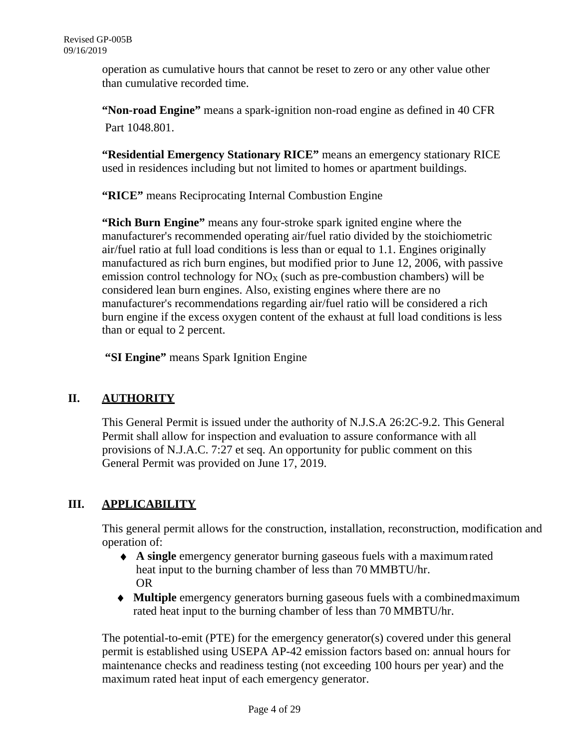operation as cumulative hours that cannot be reset to zero or any other value other than cumulative recorded time.

**"Non-road Engine"** means a spark-ignition non-road engine as defined in 40 CFR Part 1048.801.

**"Residential Emergency Stationary RICE"** means an emergency stationary RICE used in residences including but not limited to homes or apartment buildings.

**"RICE"** means Reciprocating Internal Combustion Engine

**"Rich Burn Engine"** means any four-stroke spark ignited engine where the manufacturer's recommended operating air/fuel ratio divided by the stoichiometric air/fuel ratio at full load conditions is less than or equal to 1.1. Engines originally manufactured as rich burn engines, but modified prior to June 12, 2006, with passive emission control technology for  $NO<sub>X</sub>$  (such as pre-combustion chambers) will be considered lean burn engines. Also, existing engines where there are no manufacturer's recommendations regarding air/fuel ratio will be considered a rich burn engine if the excess oxygen content of the exhaust at full load conditions is less than or equal to 2 percent.

**"SI Engine"** means Spark Ignition Engine

## **II. AUTHORITY**

This General Permit is issued under the authority of N.J.S.A 26:2C-9.2. This General Permit shall allow for inspection and evaluation to assure conformance with all provisions of N.J.A.C. 7:27 et seq. An opportunity for public comment on this General Permit was provided on June 17, 2019.

## **III. APPLICABILITY**

This general permit allows for the construction, installation, reconstruction, modification and operation of:

- ♦ **A single** emergency generator burning gaseous fuels with a maximumrated heat input to the burning chamber of less than 70 MMBTU/hr. OR
- ♦ **Multiple** emergency generators burning gaseous fuels with a combinedmaximum rated heat input to the burning chamber of less than 70 MMBTU/hr.

The potential-to-emit (PTE) for the emergency generator(s) covered under this general permit is established using USEPA AP-42 emission factors based on: annual hours for maintenance checks and readiness testing (not exceeding 100 hours per year) and the maximum rated heat input of each emergency generator.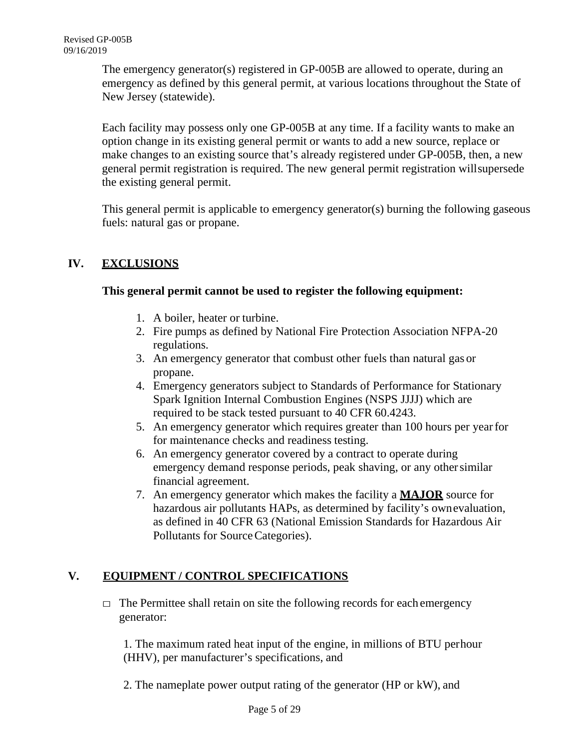The emergency generator(s) registered in GP-005B are allowed to operate, during an emergency as defined by this general permit, at various locations throughout the State of New Jersey (statewide).

Each facility may possess only one GP-005B at any time. If a facility wants to make an option change in its existing general permit or wants to add a new source, replace or make changes to an existing source that's already registered under GP-005B, then, a new general permit registration is required. The new general permit registration willsupersede the existing general permit.

This general permit is applicable to emergency generator(s) burning the following gaseous fuels: natural gas or propane.

#### **IV. EXCLUSIONS**

#### **This general permit cannot be used to register the following equipment:**

- 1. A boiler, heater or turbine.
- 2. Fire pumps as defined by National Fire Protection Association NFPA-20 regulations.
- 3. An emergency generator that combust other fuels than natural gas or propane.
- 4. Emergency generators subject to Standards of Performance for Stationary Spark Ignition Internal Combustion Engines (NSPS JJJJ) which are required to be stack tested pursuant to 40 CFR 60.4243.
- 5. An emergency generator which requires greater than 100 hours per yearfor for maintenance checks and readiness testing.
- 6. An emergency generator covered by a contract to operate during emergency demand response periods, peak shaving, or any othersimilar financial agreement.
- 7. An emergency generator which makes the facility a **MAJOR** source for hazardous air pollutants HAPs, as determined by facility's ownevaluation, as defined in 40 CFR 63 (National Emission Standards for Hazardous Air Pollutants for SourceCategories).

#### **V. EQUIPMENT / CONTROL SPECIFICATIONS**

 $\Box$  The Permittee shall retain on site the following records for each emergency generator:

1. The maximum rated heat input of the engine, in millions of BTU perhour (HHV), per manufacturer's specifications, and

2. The nameplate power output rating of the generator (HP or kW), and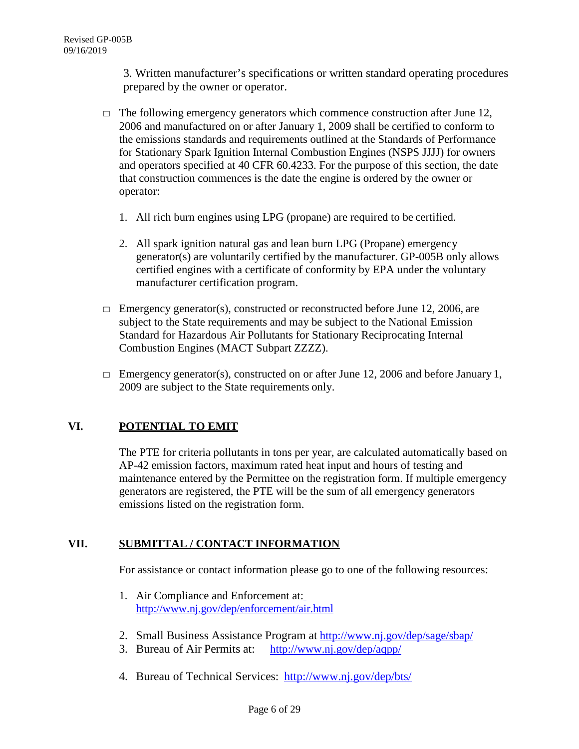3. Written manufacturer's specifications or written standard operating procedures prepared by the owner or operator.

- $\Box$  The following emergency generators which commence construction after June 12, 2006 and manufactured on or after January 1, 2009 shall be certified to conform to the emissions standards and requirements outlined at the Standards of Performance for Stationary Spark Ignition Internal Combustion Engines (NSPS JJJJ) for owners and operators specified at 40 CFR 60.4233. For the purpose of this section, the date that construction commences is the date the engine is ordered by the owner or operator:
	- 1. All rich burn engines using LPG (propane) are required to be certified.
	- 2. All spark ignition natural gas and lean burn LPG (Propane) emergency generator(s) are voluntarily certified by the manufacturer. GP-005B only allows certified engines with a certificate of conformity by EPA under the voluntary manufacturer certification program.
- $\Box$  Emergency generator(s), constructed or reconstructed before June 12, 2006, are subject to the State requirements and may be subject to the National Emission Standard for Hazardous Air Pollutants for Stationary Reciprocating Internal Combustion Engines (MACT Subpart ZZZZ).
- $\Box$  Emergency generator(s), constructed on or after June 12, 2006 and before January 1, 2009 are subject to the State requirements only.

## **VI. POTENTIAL TO EMIT**

The PTE for criteria pollutants in tons per year, are calculated automatically based on AP-42 emission factors, maximum rated heat input and hours of testing and maintenance entered by the Permittee on the registration form. If multiple emergency generators are registered, the PTE will be the sum of all emergency generators emissions listed on the registration form.

## **VII. SUBMITTAL / CONTACT INFORMATION**

For assistance or contact information please go to one of the following resources:

- 1. Air Compliance and Enforcement at: <http://www.nj.gov/dep/enforcement/air.html>
- 2. Small Business Assistance Program at <http://www.nj.gov/dep/sage/sbap/>
- 3. Bureau of Air Permits at: <http://www.nj.gov/dep/aqpp/>
- 4. Bureau of Technical Services: <http://www.nj.gov/dep/bts/>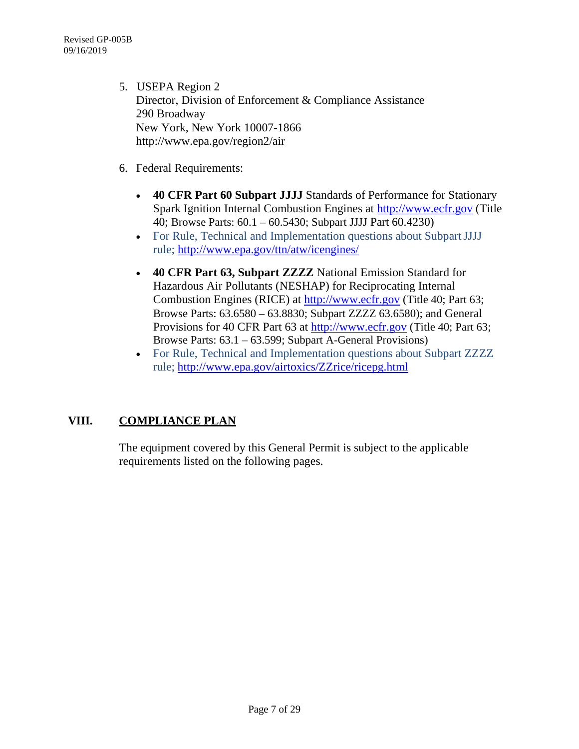- 5. USEPA Region 2 Director, Division of Enforcement & Compliance Assistance 290 Broadway New York, New York 10007-1866 <http://www.epa.gov/region2/air>
- 6. Federal Requirements:
	- **40 CFR Part 60 Subpart JJJJ** Standards of Performance for Stationary Spark Ignition Internal Combustion Engines at [http://www.ecfr.gov](http://www.ecfr.gov/) (Title 40; Browse Parts: 60.1 – 60.5430; Subpart JJJJ Part 60.4230)
	- For Rule, Technical and Implementation questions about Subpart JJJJ rule; <http://www.epa.gov/ttn/atw/icengines/>
	- **40 CFR Part 63, Subpart ZZZZ** National Emission Standard for Hazardous Air Pollutants (NESHAP) for Reciprocating Internal Combustion Engines (RICE) at [http://www.ecfr.gov](http://www.ecfr.gov/) (Title 40; Part 63; Browse Parts: 63.6580 – 63.8830; Subpart ZZZZ 63.6580); and General Provisions for 40 CFR Part 63 at [http://www.ecfr.gov](http://www.ecfr.gov/) (Title 40; Part 63; Browse Parts: 63.1 – 63.599; Subpart A-General Provisions)
	- For Rule, Technical and Implementation questions about Subpart ZZZZ rule; <http://www.epa.gov/airtoxics/ZZrice/ricepg.html>

## **VIII. COMPLIANCE PLAN**

The equipment covered by this General Permit is subject to the applicable requirements listed on the following pages.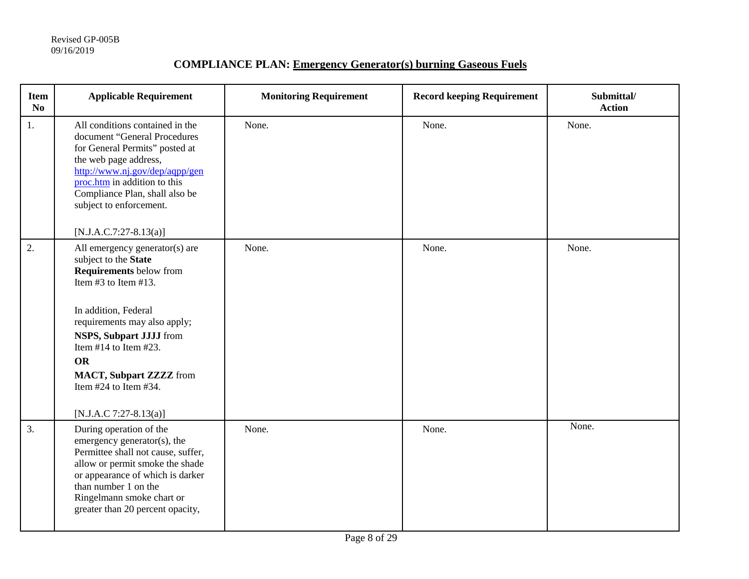#### **COMPLIANCE PLAN: Emergency Generator(s) burning Gaseous Fuels**

| <b>Item</b><br>N <sub>o</sub> | <b>Applicable Requirement</b>                                                                                                                                                                                                                                                                                                                 | <b>Monitoring Requirement</b> | <b>Record keeping Requirement</b> | Submittal/<br><b>Action</b> |
|-------------------------------|-----------------------------------------------------------------------------------------------------------------------------------------------------------------------------------------------------------------------------------------------------------------------------------------------------------------------------------------------|-------------------------------|-----------------------------------|-----------------------------|
| 1.                            | All conditions contained in the<br>document "General Procedures<br>for General Permits" posted at<br>the web page address,<br>http://www.nj.gov/dep/aqpp/gen<br>proc.htm in addition to this<br>Compliance Plan, shall also be<br>subject to enforcement.<br>$[N.J.A.C.7:27-8.13(a)]$                                                         | None.                         | None.                             | None.                       |
| 2.                            | All emergency generator(s) are<br>subject to the State<br><b>Requirements below from</b><br>Item $#3$ to Item $#13$ .<br>In addition, Federal<br>requirements may also apply;<br>NSPS, Subpart JJJJ from<br>Item $#14$ to Item $#23$ .<br><b>OR</b><br><b>MACT, Subpart ZZZZ</b> from<br>Item $#24$ to Item $#34$ .<br>[N.J.A.C 7:27-8.13(a)] | None.                         | None.                             | None.                       |
| 3.                            | During operation of the<br>emergency generator(s), the<br>Permittee shall not cause, suffer,<br>allow or permit smoke the shade<br>or appearance of which is darker<br>than number 1 on the<br>Ringelmann smoke chart or<br>greater than 20 percent opacity,                                                                                  | None.                         | None.                             | None.                       |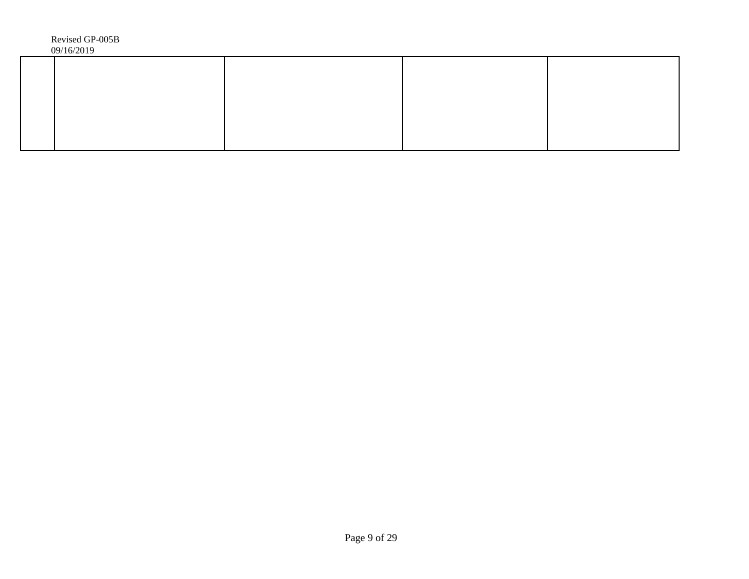| Revised GP-005B<br>09/16/2019 |  |  |
|-------------------------------|--|--|
|                               |  |  |
|                               |  |  |
|                               |  |  |
|                               |  |  |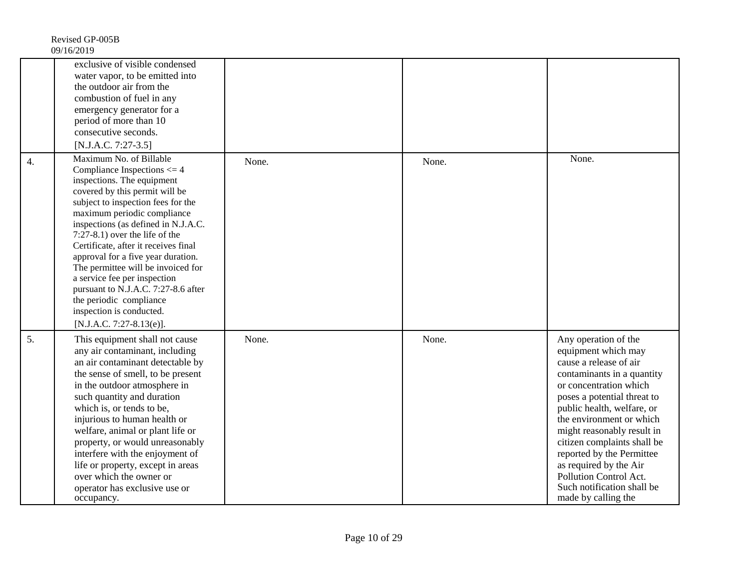|                  | exclusive of visible condensed<br>water vapor, to be emitted into<br>the outdoor air from the<br>combustion of fuel in any<br>emergency generator for a<br>period of more than 10<br>consecutive seconds.<br>$[N.J.A.C. 7:27-3.5]$                                                                                                                                                                                                                                                                                                                        |       |       |                                                                                                                                                                                                                                                                                                                                                                                                                           |
|------------------|-----------------------------------------------------------------------------------------------------------------------------------------------------------------------------------------------------------------------------------------------------------------------------------------------------------------------------------------------------------------------------------------------------------------------------------------------------------------------------------------------------------------------------------------------------------|-------|-------|---------------------------------------------------------------------------------------------------------------------------------------------------------------------------------------------------------------------------------------------------------------------------------------------------------------------------------------------------------------------------------------------------------------------------|
| $\overline{4}$ . | Maximum No. of Billable<br>Compliance Inspections $\leq 4$<br>inspections. The equipment<br>covered by this permit will be<br>subject to inspection fees for the<br>maximum periodic compliance<br>inspections (as defined in N.J.A.C.<br>$7:27-8.1$ ) over the life of the<br>Certificate, after it receives final<br>approval for a five year duration.<br>The permittee will be invoiced for<br>a service fee per inspection<br>pursuant to N.J.A.C. 7:27-8.6 after<br>the periodic compliance<br>inspection is conducted.<br>[N.J.A.C. 7:27-8.13(e)]. | None. | None. | None.                                                                                                                                                                                                                                                                                                                                                                                                                     |
| 5.               | This equipment shall not cause<br>any air contaminant, including<br>an air contaminant detectable by<br>the sense of smell, to be present<br>in the outdoor atmosphere in<br>such quantity and duration<br>which is, or tends to be,<br>injurious to human health or<br>welfare, animal or plant life or<br>property, or would unreasonably<br>interfere with the enjoyment of<br>life or property, except in areas<br>over which the owner or<br>operator has exclusive use or<br>occupancy.                                                             | None. | None. | Any operation of the<br>equipment which may<br>cause a release of air<br>contaminants in a quantity<br>or concentration which<br>poses a potential threat to<br>public health, welfare, or<br>the environment or which<br>might reasonably result in<br>citizen complaints shall be<br>reported by the Permittee<br>as required by the Air<br>Pollution Control Act.<br>Such notification shall be<br>made by calling the |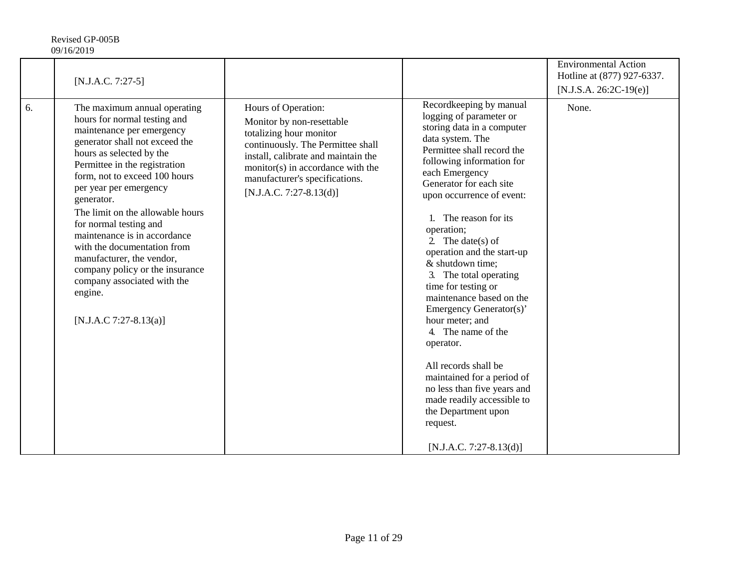|    | $[N.J.A.C. 7:27-5]$                                                                                                                                                                                                                                                                                                                                                                                                                                                                                                                |                                                                                                                                                                                                                                                             |                                                                                                                                                                                                                                                                                                                                                                                                                                                                                                                                                                                                                                                                                                       | <b>Environmental Action</b><br>Hotline at (877) 927-6337.<br>$[N.J.S.A. 26:2C-19(e)]$ |
|----|------------------------------------------------------------------------------------------------------------------------------------------------------------------------------------------------------------------------------------------------------------------------------------------------------------------------------------------------------------------------------------------------------------------------------------------------------------------------------------------------------------------------------------|-------------------------------------------------------------------------------------------------------------------------------------------------------------------------------------------------------------------------------------------------------------|-------------------------------------------------------------------------------------------------------------------------------------------------------------------------------------------------------------------------------------------------------------------------------------------------------------------------------------------------------------------------------------------------------------------------------------------------------------------------------------------------------------------------------------------------------------------------------------------------------------------------------------------------------------------------------------------------------|---------------------------------------------------------------------------------------|
| 6. | The maximum annual operating<br>hours for normal testing and<br>maintenance per emergency<br>generator shall not exceed the<br>hours as selected by the<br>Permittee in the registration<br>form, not to exceed 100 hours<br>per year per emergency<br>generator.<br>The limit on the allowable hours<br>for normal testing and<br>maintenance is in accordance<br>with the documentation from<br>manufacturer, the vendor,<br>company policy or the insurance<br>company associated with the<br>engine.<br>[N.J.A.C 7:27-8.13(a)] | Hours of Operation:<br>Monitor by non-resettable<br>totalizing hour monitor<br>continuously. The Permittee shall<br>install, calibrate and maintain the<br>monitor(s) in accordance with the<br>manufacturer's specifications.<br>$[N.J.A.C. 7:27-8.13(d)]$ | Recordkeeping by manual<br>logging of parameter or<br>storing data in a computer<br>data system. The<br>Permittee shall record the<br>following information for<br>each Emergency<br>Generator for each site<br>upon occurrence of event:<br>The reason for its<br>operation;<br>2. The date(s) of<br>operation and the start-up<br>& shutdown time;<br>3. The total operating<br>time for testing or<br>maintenance based on the<br>Emergency Generator(s)'<br>hour meter; and<br>4. The name of the<br>operator.<br>All records shall be<br>maintained for a period of<br>no less than five years and<br>made readily accessible to<br>the Department upon<br>request.<br>$[N.J.A.C. 7:27-8.13(d)]$ | None.                                                                                 |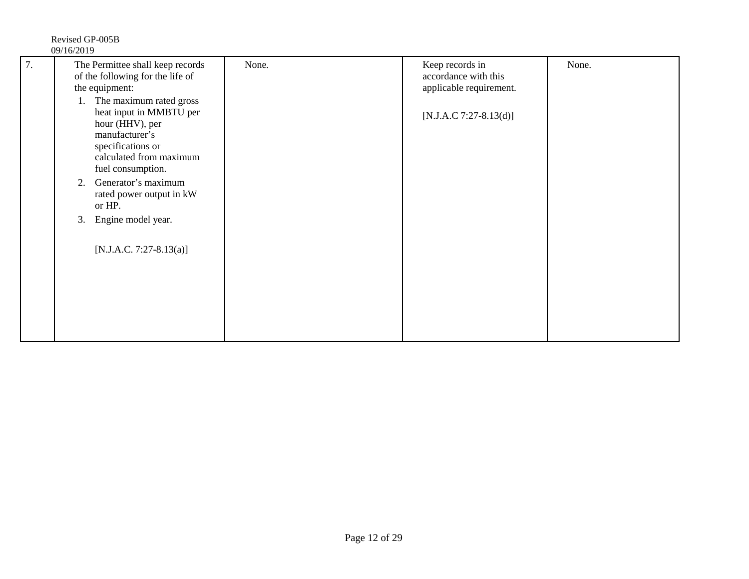|    | 0/110/201/                                                                                                                                                         |       |                                                                    |       |
|----|--------------------------------------------------------------------------------------------------------------------------------------------------------------------|-------|--------------------------------------------------------------------|-------|
| 7. | The Permittee shall keep records<br>of the following for the life of<br>the equipment:                                                                             | None. | Keep records in<br>accordance with this<br>applicable requirement. | None. |
|    | The maximum rated gross<br>1.<br>heat input in MMBTU per<br>hour (HHV), per<br>manufacturer's<br>specifications or<br>calculated from maximum<br>fuel consumption. |       | [N.J.A.C 7:27-8.13(d)]                                             |       |
|    | Generator's maximum<br>2.<br>rated power output in kW<br>or HP.                                                                                                    |       |                                                                    |       |
|    | Engine model year.<br>3.                                                                                                                                           |       |                                                                    |       |
|    | $[N.J.A.C. 7:27-8.13(a)]$                                                                                                                                          |       |                                                                    |       |
|    |                                                                                                                                                                    |       |                                                                    |       |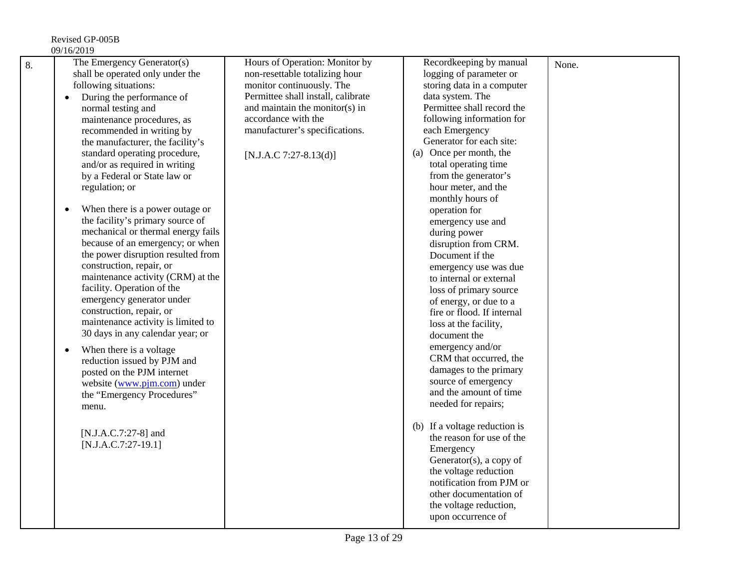|    | 0/10/201/                                                                                                                                                                                                                                                                                                                                                                                                                                                                                                                                                                                                                                                                                                                                                                                                                                                                                                                                                                                                                                    |                                                                                                                                                                                                                                                                |                                                                                                                                                                                                                                                                                                                                                                                                                                                                                                                                                                                                                                                                                                                                                                                                                                                                                                                                                                                                          |       |
|----|----------------------------------------------------------------------------------------------------------------------------------------------------------------------------------------------------------------------------------------------------------------------------------------------------------------------------------------------------------------------------------------------------------------------------------------------------------------------------------------------------------------------------------------------------------------------------------------------------------------------------------------------------------------------------------------------------------------------------------------------------------------------------------------------------------------------------------------------------------------------------------------------------------------------------------------------------------------------------------------------------------------------------------------------|----------------------------------------------------------------------------------------------------------------------------------------------------------------------------------------------------------------------------------------------------------------|----------------------------------------------------------------------------------------------------------------------------------------------------------------------------------------------------------------------------------------------------------------------------------------------------------------------------------------------------------------------------------------------------------------------------------------------------------------------------------------------------------------------------------------------------------------------------------------------------------------------------------------------------------------------------------------------------------------------------------------------------------------------------------------------------------------------------------------------------------------------------------------------------------------------------------------------------------------------------------------------------------|-------|
| 8. | The Emergency Generator(s)<br>shall be operated only under the<br>following situations:<br>During the performance of<br>$\bullet$<br>normal testing and<br>maintenance procedures, as<br>recommended in writing by<br>the manufacturer, the facility's<br>standard operating procedure,<br>and/or as required in writing<br>by a Federal or State law or<br>regulation; or<br>When there is a power outage or<br>$\bullet$<br>the facility's primary source of<br>mechanical or thermal energy fails<br>because of an emergency; or when<br>the power disruption resulted from<br>construction, repair, or<br>maintenance activity (CRM) at the<br>facility. Operation of the<br>emergency generator under<br>construction, repair, or<br>maintenance activity is limited to<br>30 days in any calendar year; or<br>When there is a voltage<br>$\bullet$<br>reduction issued by PJM and<br>posted on the PJM internet<br>website (www.pjm.com) under<br>the "Emergency Procedures"<br>menu.<br>[N.J.A.C.7:27-8] and<br>$[N.J.A.C.7:27-19.1]$ | Hours of Operation: Monitor by<br>non-resettable totalizing hour<br>monitor continuously. The<br>Permittee shall install, calibrate<br>and maintain the monitor( $s$ ) in<br>accordance with the<br>manufacturer's specifications.<br>$[N.J.A.C 7:27-8.13(d)]$ | Recordkeeping by manual<br>logging of parameter or<br>storing data in a computer<br>data system. The<br>Permittee shall record the<br>following information for<br>each Emergency<br>Generator for each site:<br>(a) Once per month, the<br>total operating time<br>from the generator's<br>hour meter, and the<br>monthly hours of<br>operation for<br>emergency use and<br>during power<br>disruption from CRM.<br>Document if the<br>emergency use was due<br>to internal or external<br>loss of primary source<br>of energy, or due to a<br>fire or flood. If internal<br>loss at the facility,<br>document the<br>emergency and/or<br>CRM that occurred, the<br>damages to the primary<br>source of emergency<br>and the amount of time<br>needed for repairs;<br>(b) If a voltage reduction is<br>the reason for use of the<br>Emergency<br>Generator(s), a copy of<br>the voltage reduction<br>notification from PJM or<br>other documentation of<br>the voltage reduction,<br>upon occurrence of | None. |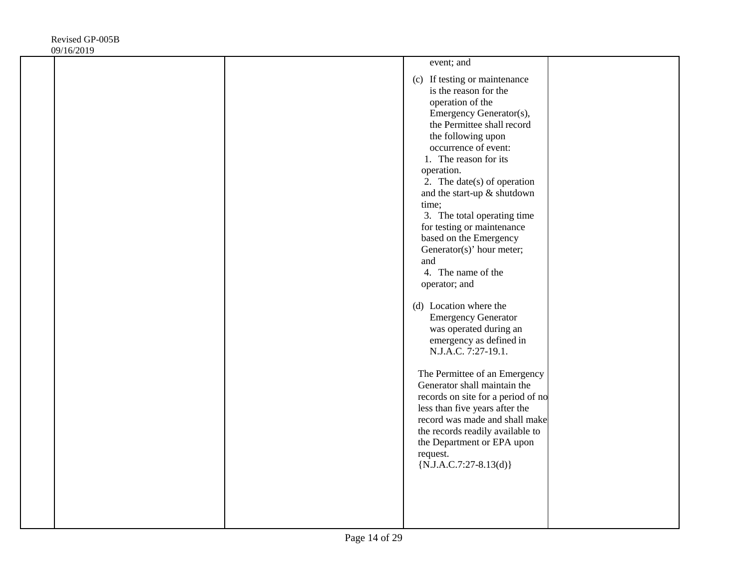|  | event; and                         |  |
|--|------------------------------------|--|
|  | (c) If testing or maintenance      |  |
|  | is the reason for the              |  |
|  |                                    |  |
|  | operation of the                   |  |
|  | Emergency Generator(s),            |  |
|  | the Permittee shall record         |  |
|  | the following upon                 |  |
|  | occurrence of event:               |  |
|  | 1. The reason for its              |  |
|  | operation.                         |  |
|  | 2. The date(s) of operation        |  |
|  | and the start-up & shutdown        |  |
|  | time;                              |  |
|  | 3. The total operating time        |  |
|  | for testing or maintenance         |  |
|  | based on the Emergency             |  |
|  | Generator(s)' hour meter;          |  |
|  | and                                |  |
|  | 4. The name of the                 |  |
|  | operator; and                      |  |
|  |                                    |  |
|  | (d) Location where the             |  |
|  | <b>Emergency Generator</b>         |  |
|  | was operated during an             |  |
|  | emergency as defined in            |  |
|  | N.J.A.C. 7:27-19.1.                |  |
|  |                                    |  |
|  | The Permittee of an Emergency      |  |
|  | Generator shall maintain the       |  |
|  | records on site for a period of no |  |
|  | less than five years after the     |  |
|  | record was made and shall make     |  |
|  | the records readily available to   |  |
|  | the Department or EPA upon         |  |
|  | request.                           |  |
|  | ${N.J.A.C.7:27-8.13(d)}$           |  |
|  |                                    |  |
|  |                                    |  |
|  |                                    |  |
|  |                                    |  |
|  |                                    |  |
|  |                                    |  |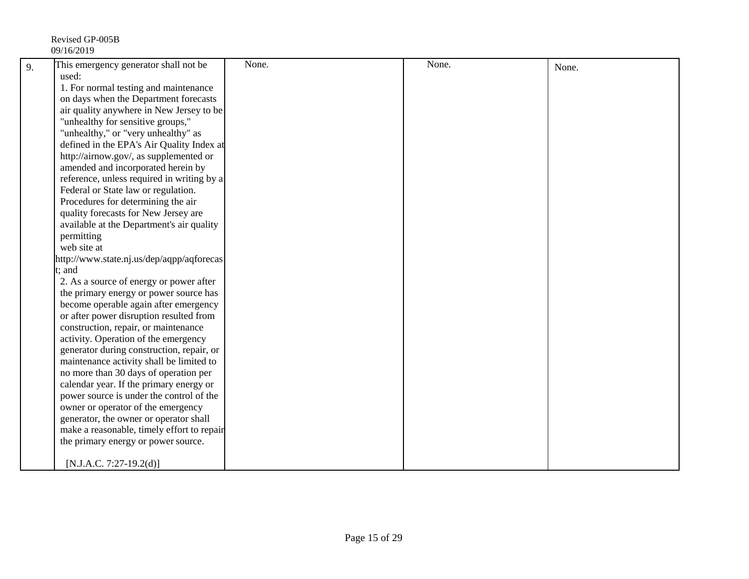| 9. | This emergency generator shall not be      | None. | None. | None. |
|----|--------------------------------------------|-------|-------|-------|
|    | used:                                      |       |       |       |
|    | 1. For normal testing and maintenance      |       |       |       |
|    | on days when the Department forecasts      |       |       |       |
|    | air quality anywhere in New Jersey to be   |       |       |       |
|    | "unhealthy for sensitive groups,"          |       |       |       |
|    | "unhealthy," or "very unhealthy" as        |       |       |       |
|    | defined in the EPA's Air Quality Index at  |       |       |       |
|    | http://airnow.gov/, as supplemented or     |       |       |       |
|    | amended and incorporated herein by         |       |       |       |
|    | reference, unless required in writing by a |       |       |       |
|    | Federal or State law or regulation.        |       |       |       |
|    | Procedures for determining the air         |       |       |       |
|    | quality forecasts for New Jersey are       |       |       |       |
|    | available at the Department's air quality  |       |       |       |
|    | permitting<br>web site at                  |       |       |       |
|    | http://www.state.nj.us/dep/aqpp/aqforecas  |       |       |       |
|    | t; and                                     |       |       |       |
|    | 2. As a source of energy or power after    |       |       |       |
|    | the primary energy or power source has     |       |       |       |
|    | become operable again after emergency      |       |       |       |
|    | or after power disruption resulted from    |       |       |       |
|    | construction, repair, or maintenance       |       |       |       |
|    | activity. Operation of the emergency       |       |       |       |
|    | generator during construction, repair, or  |       |       |       |
|    | maintenance activity shall be limited to   |       |       |       |
|    | no more than 30 days of operation per      |       |       |       |
|    | calendar year. If the primary energy or    |       |       |       |
|    | power source is under the control of the   |       |       |       |
|    | owner or operator of the emergency         |       |       |       |
|    | generator, the owner or operator shall     |       |       |       |
|    | make a reasonable, timely effort to repair |       |       |       |
|    | the primary energy or power source.        |       |       |       |
|    | [N.J.A.C. 7:27-19.2(d)]                    |       |       |       |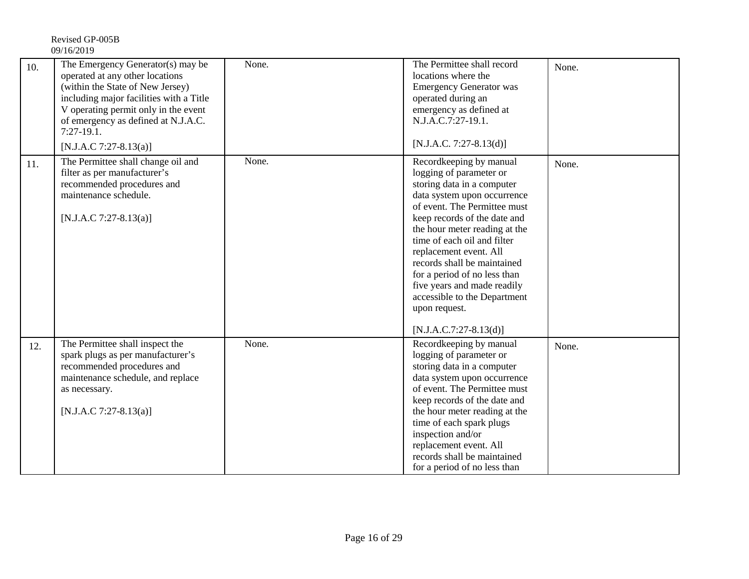| 10. | The Emergency Generator(s) may be<br>operated at any other locations<br>(within the State of New Jersey)<br>including major facilities with a Title<br>V operating permit only in the event<br>of emergency as defined at N.J.A.C.<br>$7:27-19.1$ .<br>[N.J.A.C 7:27-8.13(a)] | None. | The Permittee shall record<br>locations where the<br><b>Emergency Generator was</b><br>operated during an<br>emergency as defined at<br>N.J.A.C.7:27-19.1.<br>$[N.J.A.C. 7:27-8.13(d)]$                                                                                                                                                                                                                                                              | None. |
|-----|-------------------------------------------------------------------------------------------------------------------------------------------------------------------------------------------------------------------------------------------------------------------------------|-------|------------------------------------------------------------------------------------------------------------------------------------------------------------------------------------------------------------------------------------------------------------------------------------------------------------------------------------------------------------------------------------------------------------------------------------------------------|-------|
| 11. | The Permittee shall change oil and<br>filter as per manufacturer's<br>recommended procedures and<br>maintenance schedule.<br>[N.J.A.C 7:27-8.13(a)]                                                                                                                           | None. | Recordkeeping by manual<br>logging of parameter or<br>storing data in a computer<br>data system upon occurrence<br>of event. The Permittee must<br>keep records of the date and<br>the hour meter reading at the<br>time of each oil and filter<br>replacement event. All<br>records shall be maintained<br>for a period of no less than<br>five years and made readily<br>accessible to the Department<br>upon request.<br>$[N.J.A.C.7:27-8.13(d)]$ | None. |
| 12. | The Permittee shall inspect the<br>spark plugs as per manufacturer's<br>recommended procedures and<br>maintenance schedule, and replace<br>as necessary.<br>[N.J.A.C 7:27-8.13(a)]                                                                                            | None. | Recordkeeping by manual<br>logging of parameter or<br>storing data in a computer<br>data system upon occurrence<br>of event. The Permittee must<br>keep records of the date and<br>the hour meter reading at the<br>time of each spark plugs<br>inspection and/or<br>replacement event. All<br>records shall be maintained<br>for a period of no less than                                                                                           | None. |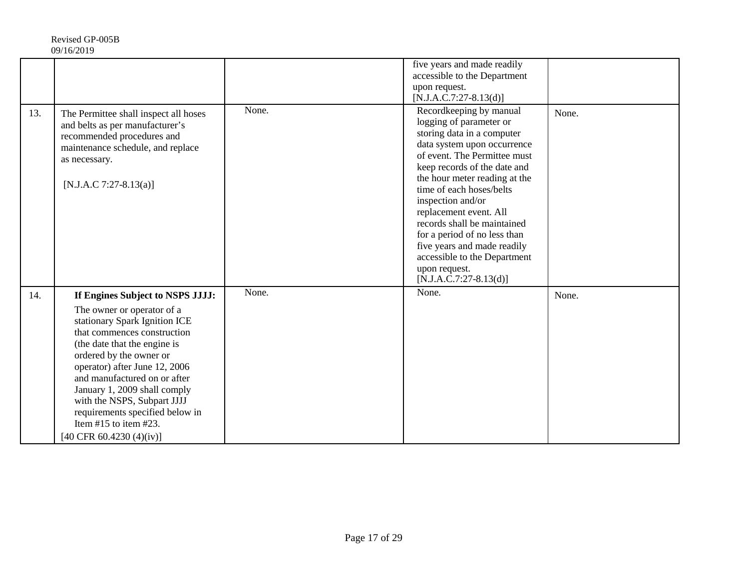|     |                                                                                                                                                                                                                                                                                                                                                                                                                        |       | five years and made readily<br>accessible to the Department                                                                                                                                                                                                                                                                                                                                                                                                            |       |
|-----|------------------------------------------------------------------------------------------------------------------------------------------------------------------------------------------------------------------------------------------------------------------------------------------------------------------------------------------------------------------------------------------------------------------------|-------|------------------------------------------------------------------------------------------------------------------------------------------------------------------------------------------------------------------------------------------------------------------------------------------------------------------------------------------------------------------------------------------------------------------------------------------------------------------------|-------|
|     |                                                                                                                                                                                                                                                                                                                                                                                                                        |       | upon request.<br>$[N.J.A.C.7:27-8.13(d)]$                                                                                                                                                                                                                                                                                                                                                                                                                              |       |
| 13. | The Permittee shall inspect all hoses<br>and belts as per manufacturer's<br>recommended procedures and<br>maintenance schedule, and replace<br>as necessary.<br>[N.J.A.C 7:27-8.13(a)]                                                                                                                                                                                                                                 | None. | Recordkeeping by manual<br>logging of parameter or<br>storing data in a computer<br>data system upon occurrence<br>of event. The Permittee must<br>keep records of the date and<br>the hour meter reading at the<br>time of each hoses/belts<br>inspection and/or<br>replacement event. All<br>records shall be maintained<br>for a period of no less than<br>five years and made readily<br>accessible to the Department<br>upon request.<br>$[N.J.A.C.7:27-8.13(d)]$ | None. |
| 14. | If Engines Subject to NSPS JJJJ:<br>The owner or operator of a<br>stationary Spark Ignition ICE<br>that commences construction<br>(the date that the engine is<br>ordered by the owner or<br>operator) after June 12, 2006<br>and manufactured on or after<br>January 1, 2009 shall comply<br>with the NSPS, Subpart JJJJ<br>requirements specified below in<br>Item $#15$ to item $#23$ .<br>[40 CFR 60.4230 (4)(iv)] | None. | None.                                                                                                                                                                                                                                                                                                                                                                                                                                                                  | None. |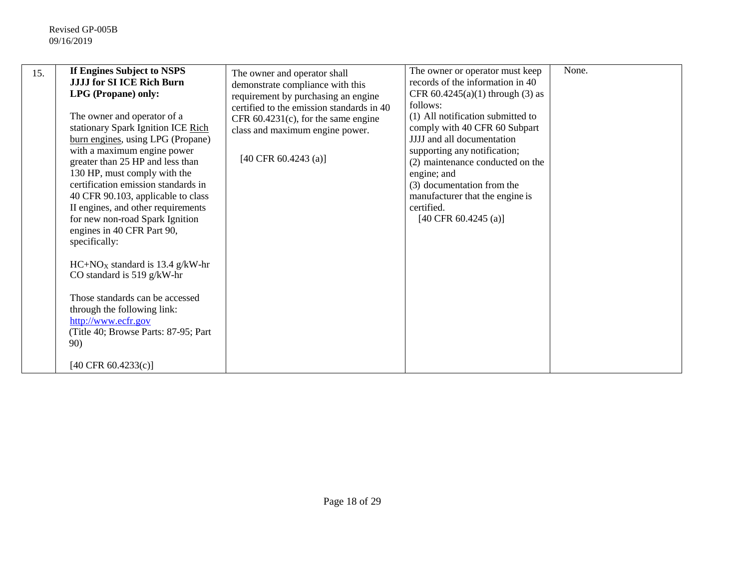| 15. | If Engines Subject to NSPS<br><b>JJJJ for SI ICE Rich Burn</b><br>LPG (Propane) only:<br>The owner and operator of a<br>stationary Spark Ignition ICE Rich<br>burn engines, using LPG (Propane)<br>with a maximum engine power<br>greater than 25 HP and less than<br>130 HP, must comply with the<br>certification emission standards in | The owner and operator shall<br>demonstrate compliance with this<br>requirement by purchasing an engine<br>certified to the emission standards in 40<br>CFR $60.4231(c)$ , for the same engine<br>class and maximum engine power.<br>$[40 \text{ CFR } 60.4243 \text{ (a)}]$ | The owner or operator must keep<br>records of the information in 40<br>CFR $60.4245(a)(1)$ through (3) as<br>follows:<br>(1) All notification submitted to<br>comply with 40 CFR 60 Subpart<br>JJJJ and all documentation<br>supporting any notification;<br>(2) maintenance conducted on the<br>engine; and<br>(3) documentation from the | None. |
|-----|-------------------------------------------------------------------------------------------------------------------------------------------------------------------------------------------------------------------------------------------------------------------------------------------------------------------------------------------|------------------------------------------------------------------------------------------------------------------------------------------------------------------------------------------------------------------------------------------------------------------------------|--------------------------------------------------------------------------------------------------------------------------------------------------------------------------------------------------------------------------------------------------------------------------------------------------------------------------------------------|-------|
|     | 40 CFR 90.103, applicable to class<br>II engines, and other requirements<br>for new non-road Spark Ignition<br>engines in 40 CFR Part 90,<br>specifically:<br>$HC+NOX$ standard is 13.4 g/kW-hr<br>CO standard is $519$ g/kW-hr                                                                                                           |                                                                                                                                                                                                                                                                              | manufacturer that the engine is<br>certified.<br>[40 CFR 60.4245 (a)]                                                                                                                                                                                                                                                                      |       |
|     | Those standards can be accessed<br>through the following link:<br>http://www.ecfr.gov<br>(Title 40; Browse Parts: 87-95; Part<br>90)<br>[40 CFR 60.4233(c)]                                                                                                                                                                               |                                                                                                                                                                                                                                                                              |                                                                                                                                                                                                                                                                                                                                            |       |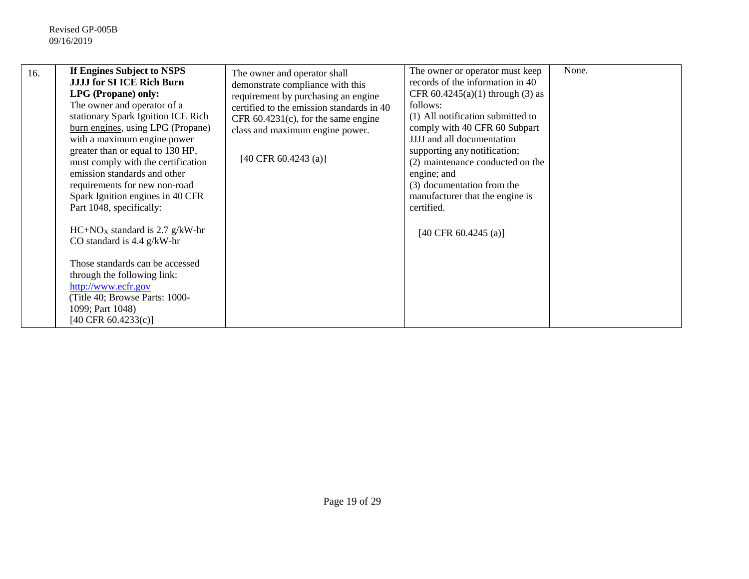| 16. | If Engines Subject to NSPS<br><b>JJJJ</b> for SI ICE Rich Burn<br>LPG (Propane) only:<br>The owner and operator of a<br>stationary Spark Ignition ICE Rich<br>burn engines, using LPG (Propane)<br>with a maximum engine power<br>greater than or equal to 130 HP,<br>must comply with the certification<br>emission standards and other<br>requirements for new non-road<br>Spark Ignition engines in 40 CFR<br>Part 1048, specifically:<br>$HC+NOX$ standard is 2.7 g/kW-hr<br>CO standard is $4.4$ g/kW-hr<br>Those standards can be accessed<br>through the following link:<br>http://www.ecfr.gov<br>(Title 40; Browse Parts: 1000-<br>1099; Part 1048)<br>[40 CFR $60.4233(c)$ ] | The owner and operator shall<br>demonstrate compliance with this<br>requirement by purchasing an engine<br>certified to the emission standards in 40<br>CFR $60.4231(c)$ , for the same engine<br>class and maximum engine power.<br>[40 CFR 60.4243 (a)] | The owner or operator must keep<br>records of the information in 40<br>CFR $60.4245(a)(1)$ through (3) as<br>follows:<br>(1) All notification submitted to<br>comply with 40 CFR 60 Subpart<br>JJJJ and all documentation<br>supporting any notification;<br>(2) maintenance conducted on the<br>engine; and<br>(3) documentation from the<br>manufacturer that the engine is<br>certified.<br>$[40 \text{ CFR } 60.4245 \text{ (a)}]$ | None. |
|-----|----------------------------------------------------------------------------------------------------------------------------------------------------------------------------------------------------------------------------------------------------------------------------------------------------------------------------------------------------------------------------------------------------------------------------------------------------------------------------------------------------------------------------------------------------------------------------------------------------------------------------------------------------------------------------------------|-----------------------------------------------------------------------------------------------------------------------------------------------------------------------------------------------------------------------------------------------------------|----------------------------------------------------------------------------------------------------------------------------------------------------------------------------------------------------------------------------------------------------------------------------------------------------------------------------------------------------------------------------------------------------------------------------------------|-------|
|-----|----------------------------------------------------------------------------------------------------------------------------------------------------------------------------------------------------------------------------------------------------------------------------------------------------------------------------------------------------------------------------------------------------------------------------------------------------------------------------------------------------------------------------------------------------------------------------------------------------------------------------------------------------------------------------------------|-----------------------------------------------------------------------------------------------------------------------------------------------------------------------------------------------------------------------------------------------------------|----------------------------------------------------------------------------------------------------------------------------------------------------------------------------------------------------------------------------------------------------------------------------------------------------------------------------------------------------------------------------------------------------------------------------------------|-------|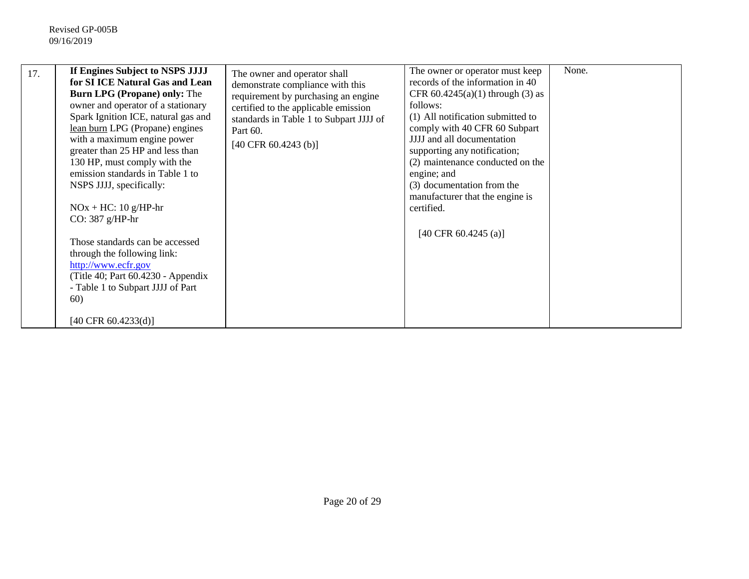| 17. | If Engines Subject to NSPS JJJJ<br>for SI ICE Natural Gas and Lean<br><b>Burn LPG (Propane) only:</b> The<br>owner and operator of a stationary<br>Spark Ignition ICE, natural gas and<br>lean burn LPG (Propane) engines<br>with a maximum engine power<br>greater than 25 HP and less than<br>130 HP, must comply with the<br>emission standards in Table 1 to<br>NSPS JJJJ, specifically:<br>$NOx + HC: 10 g/HP-hr$<br>$CO: 387 g/HP-hr$<br>Those standards can be accessed<br>through the following link:<br>http://www.ecfr.gov<br>(Title 40; Part 60.4230 - Appendix<br>- Table 1 to Subpart JJJJ of Part<br>60) | The owner and operator shall<br>demonstrate compliance with this<br>requirement by purchasing an engine<br>certified to the applicable emission<br>standards in Table 1 to Subpart JJJJ of<br>Part 60.<br>[40 CFR 60.4243 (b)] | The owner or operator must keep<br>records of the information in 40<br>CFR $60.4245(a)(1)$ through (3) as<br>follows:<br>(1) All notification submitted to<br>comply with 40 CFR 60 Subpart<br>JJJJ and all documentation<br>supporting any notification;<br>(2) maintenance conducted on the<br>engine; and<br>(3) documentation from the<br>manufacturer that the engine is<br>certified.<br>[40 CFR 60.4245 (a)] | None. |
|-----|------------------------------------------------------------------------------------------------------------------------------------------------------------------------------------------------------------------------------------------------------------------------------------------------------------------------------------------------------------------------------------------------------------------------------------------------------------------------------------------------------------------------------------------------------------------------------------------------------------------------|--------------------------------------------------------------------------------------------------------------------------------------------------------------------------------------------------------------------------------|---------------------------------------------------------------------------------------------------------------------------------------------------------------------------------------------------------------------------------------------------------------------------------------------------------------------------------------------------------------------------------------------------------------------|-------|
|     | [40 CFR $60.4233(d)$ ]                                                                                                                                                                                                                                                                                                                                                                                                                                                                                                                                                                                                 |                                                                                                                                                                                                                                |                                                                                                                                                                                                                                                                                                                                                                                                                     |       |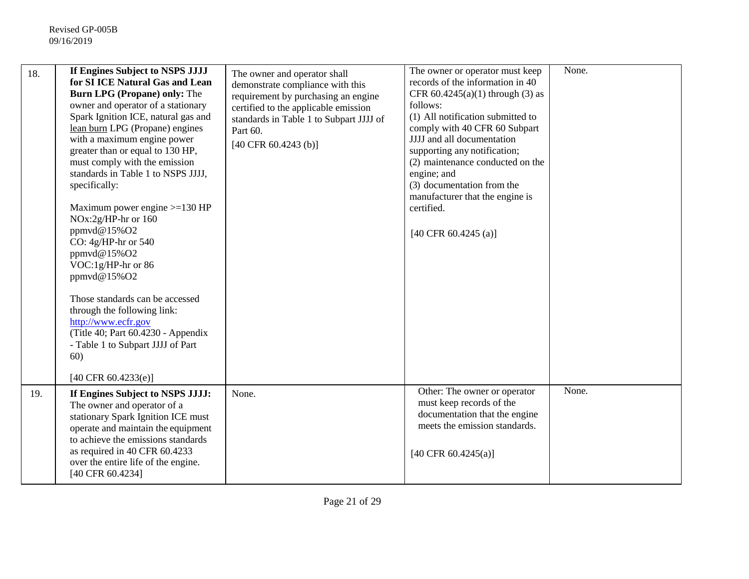| 18. | If Engines Subject to NSPS JJJJ<br>for SI ICE Natural Gas and Lean<br><b>Burn LPG (Propane) only: The</b><br>owner and operator of a stationary<br>Spark Ignition ICE, natural gas and<br>lean burn LPG (Propane) engines<br>with a maximum engine power<br>greater than or equal to 130 HP,<br>must comply with the emission<br>standards in Table 1 to NSPS JJJJ,<br>specifically:<br>Maximum power engine $>=130$ HP<br>NOx:2g/HP-hr or 160<br>$ppmvd@15\%O2$<br>CO: 4g/HP-hr or 540<br>$ppmvd@15\%O2$<br>VOC:1g/HP-hr or 86<br>$ppmvd@15\%O2$<br>Those standards can be accessed<br>through the following link:<br>http://www.ecfr.gov<br>(Title 40; Part 60.4230 - Appendix<br>- Table 1 to Subpart JJJJ of Part<br>60)<br>[40 CFR $60.4233(e)$ ] | The owner and operator shall<br>demonstrate compliance with this<br>requirement by purchasing an engine<br>certified to the applicable emission<br>standards in Table 1 to Subpart JJJJ of<br>Part 60.<br>[40 CFR 60.4243 (b)] | The owner or operator must keep<br>records of the information in 40<br>CFR $60.4245(a)(1)$ through (3) as<br>follows:<br>(1) All notification submitted to<br>comply with 40 CFR 60 Subpart<br>JJJJ and all documentation<br>supporting any notification;<br>(2) maintenance conducted on the<br>engine; and<br>(3) documentation from the<br>manufacturer that the engine is<br>certified.<br>[40 CFR 60.4245 (a)] | None. |
|-----|--------------------------------------------------------------------------------------------------------------------------------------------------------------------------------------------------------------------------------------------------------------------------------------------------------------------------------------------------------------------------------------------------------------------------------------------------------------------------------------------------------------------------------------------------------------------------------------------------------------------------------------------------------------------------------------------------------------------------------------------------------|--------------------------------------------------------------------------------------------------------------------------------------------------------------------------------------------------------------------------------|---------------------------------------------------------------------------------------------------------------------------------------------------------------------------------------------------------------------------------------------------------------------------------------------------------------------------------------------------------------------------------------------------------------------|-------|
| 19. | If Engines Subject to NSPS JJJJ:<br>The owner and operator of a<br>stationary Spark Ignition ICE must<br>operate and maintain the equipment<br>to achieve the emissions standards<br>as required in 40 CFR 60.4233<br>over the entire life of the engine.<br>[40 CFR 60.4234]                                                                                                                                                                                                                                                                                                                                                                                                                                                                          | None.                                                                                                                                                                                                                          | Other: The owner or operator<br>must keep records of the<br>documentation that the engine<br>meets the emission standards.<br>[40 CFR 60.4245(a)]                                                                                                                                                                                                                                                                   | None. |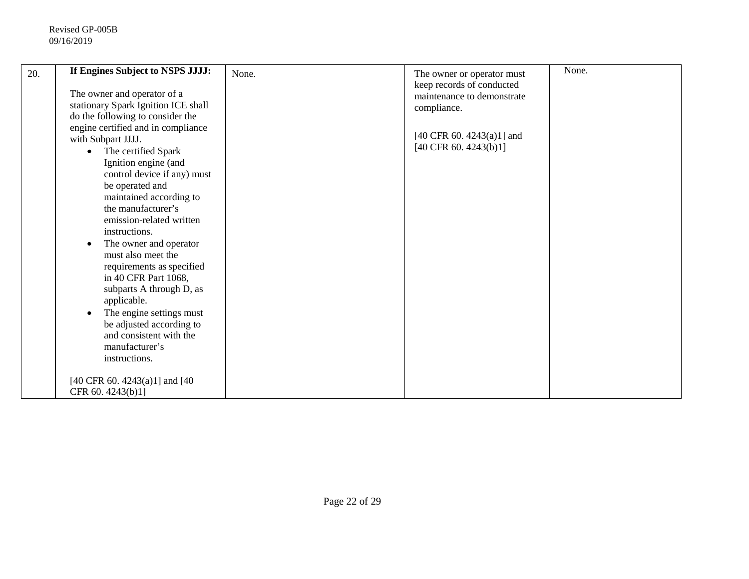| 20. | If Engines Subject to NSPS JJJJ:                         | None. | The owner or operator must                              | None. |
|-----|----------------------------------------------------------|-------|---------------------------------------------------------|-------|
|     | The owner and operator of a                              |       | keep records of conducted<br>maintenance to demonstrate |       |
|     | stationary Spark Ignition ICE shall                      |       | compliance.                                             |       |
|     | do the following to consider the                         |       |                                                         |       |
|     | engine certified and in compliance<br>with Subpart JJJJ. |       | [40 CFR 60. $4243(a)1$ ] and                            |       |
|     | The certified Spark                                      |       | $[40 \text{ CFR } 60.4243(b)1]$                         |       |
|     | Ignition engine (and                                     |       |                                                         |       |
|     | control device if any) must                              |       |                                                         |       |
|     | be operated and                                          |       |                                                         |       |
|     | maintained according to<br>the manufacturer's            |       |                                                         |       |
|     | emission-related written                                 |       |                                                         |       |
|     | instructions.                                            |       |                                                         |       |
|     | The owner and operator                                   |       |                                                         |       |
|     | must also meet the                                       |       |                                                         |       |
|     | requirements as specified<br>in 40 CFR Part 1068,        |       |                                                         |       |
|     | subparts A through D, as                                 |       |                                                         |       |
|     | applicable.                                              |       |                                                         |       |
|     | The engine settings must                                 |       |                                                         |       |
|     | be adjusted according to<br>and consistent with the      |       |                                                         |       |
|     | manufacturer's                                           |       |                                                         |       |
|     | instructions.                                            |       |                                                         |       |
|     | [40 CFR 60. 4243(a)1] and [40]                           |       |                                                         |       |
|     | CFR 60. 4243(b)1]                                        |       |                                                         |       |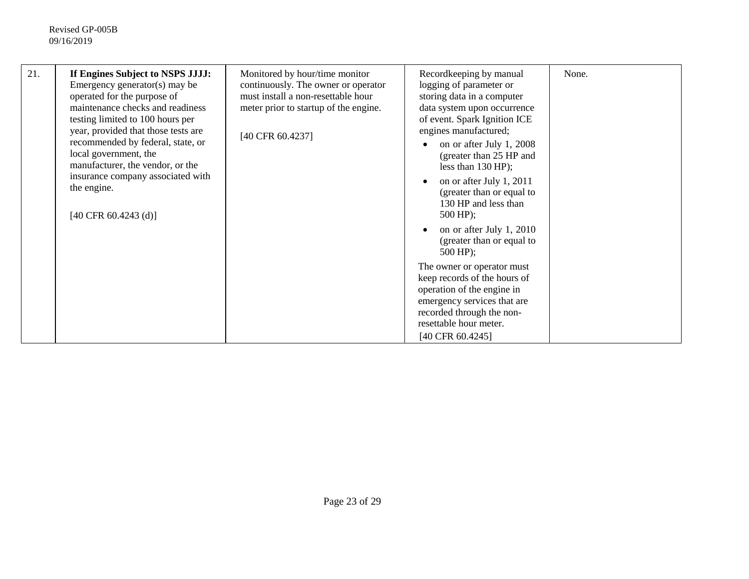| $500$ HP);<br>The owner or operator must<br>keep records of the hours of<br>operation of the engine in<br>emergency services that are<br>recorded through the non-<br>resettable hour meter.<br>[40 CFR 60.4245] | manufacturer, the vendor, or the<br>insurance company associated with<br>the engine.<br>$[40 \text{ CFR } 60.4243 \text{ (d)}]$ | engines manufactured;<br>on or after July 1, 2008<br>(greater than 25 HP and<br>less than $130$ HP);<br>on or after July 1, 2011<br>(greater than or equal to<br>130 HP and less than<br>$500$ HP);<br>on or after July 1, 2010<br>(greater than or equal to |
|------------------------------------------------------------------------------------------------------------------------------------------------------------------------------------------------------------------|---------------------------------------------------------------------------------------------------------------------------------|--------------------------------------------------------------------------------------------------------------------------------------------------------------------------------------------------------------------------------------------------------------|
|------------------------------------------------------------------------------------------------------------------------------------------------------------------------------------------------------------------|---------------------------------------------------------------------------------------------------------------------------------|--------------------------------------------------------------------------------------------------------------------------------------------------------------------------------------------------------------------------------------------------------------|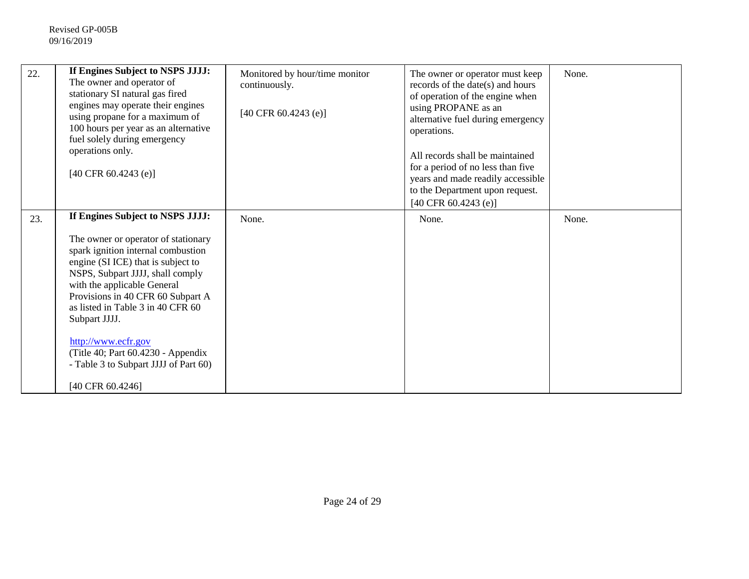| 22. | If Engines Subject to NSPS JJJJ:<br>The owner and operator of<br>stationary SI natural gas fired<br>engines may operate their engines<br>using propane for a maximum of<br>100 hours per year as an alternative<br>fuel solely during emergency<br>operations only.<br>$[40 \text{ CFR } 60.4243 \text{ (e)}]$                                                                                                                              | Monitored by hour/time monitor<br>continuously.<br>$[40 \text{ CFR } 60.4243 \text{ (e)}]$ | The owner or operator must keep<br>records of the date(s) and hours<br>of operation of the engine when<br>using PROPANE as an<br>alternative fuel during emergency<br>operations.<br>All records shall be maintained<br>for a period of no less than five<br>years and made readily accessible<br>to the Department upon request.<br>[40 CFR 60.4243 (e)] | None. |
|-----|---------------------------------------------------------------------------------------------------------------------------------------------------------------------------------------------------------------------------------------------------------------------------------------------------------------------------------------------------------------------------------------------------------------------------------------------|--------------------------------------------------------------------------------------------|-----------------------------------------------------------------------------------------------------------------------------------------------------------------------------------------------------------------------------------------------------------------------------------------------------------------------------------------------------------|-------|
| 23. | If Engines Subject to NSPS JJJJ:<br>The owner or operator of stationary<br>spark ignition internal combustion<br>engine (SI ICE) that is subject to<br>NSPS, Subpart JJJJ, shall comply<br>with the applicable General<br>Provisions in 40 CFR 60 Subpart A<br>as listed in Table 3 in 40 CFR 60<br>Subpart JJJJ.<br>http://www.ecfr.gov<br>(Title 40; Part 60.4230 - Appendix<br>- Table 3 to Subpart JJJJ of Part 60)<br>[40 CFR 60.4246] | None.                                                                                      | None.                                                                                                                                                                                                                                                                                                                                                     | None. |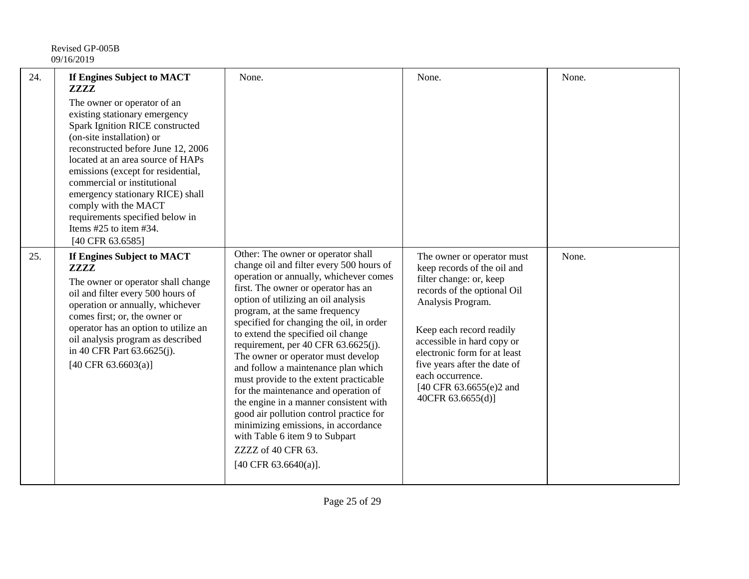| 24. | If Engines Subject to MACT<br><b>ZZZZ</b>                                                                                                                                                                                                                                                                                                                                                                                 | None.                                                                                                                                                                                                                                                                                                                                                                                                                                                                                                                                                                                                                                                                                                                                        | None.                                                                                                                                                                                                                                                                                                                                  | None. |
|-----|---------------------------------------------------------------------------------------------------------------------------------------------------------------------------------------------------------------------------------------------------------------------------------------------------------------------------------------------------------------------------------------------------------------------------|----------------------------------------------------------------------------------------------------------------------------------------------------------------------------------------------------------------------------------------------------------------------------------------------------------------------------------------------------------------------------------------------------------------------------------------------------------------------------------------------------------------------------------------------------------------------------------------------------------------------------------------------------------------------------------------------------------------------------------------------|----------------------------------------------------------------------------------------------------------------------------------------------------------------------------------------------------------------------------------------------------------------------------------------------------------------------------------------|-------|
|     | The owner or operator of an<br>existing stationary emergency<br>Spark Ignition RICE constructed<br>(on-site installation) or<br>reconstructed before June 12, 2006<br>located at an area source of HAPs<br>emissions (except for residential,<br>commercial or institutional<br>emergency stationary RICE) shall<br>comply with the MACT<br>requirements specified below in<br>Items #25 to item #34.<br>[40 CFR 63.6585] |                                                                                                                                                                                                                                                                                                                                                                                                                                                                                                                                                                                                                                                                                                                                              |                                                                                                                                                                                                                                                                                                                                        |       |
| 25. | If Engines Subject to MACT<br><b>ZZZZ</b><br>The owner or operator shall change<br>oil and filter every 500 hours of<br>operation or annually, whichever<br>comes first; or, the owner or<br>operator has an option to utilize an<br>oil analysis program as described<br>in 40 CFR Part 63.6625(j).<br>[40 CFR 63.6603(a)]                                                                                               | Other: The owner or operator shall<br>change oil and filter every 500 hours of<br>operation or annually, whichever comes<br>first. The owner or operator has an<br>option of utilizing an oil analysis<br>program, at the same frequency<br>specified for changing the oil, in order<br>to extend the specified oil change<br>requirement, per 40 CFR 63.6625(j).<br>The owner or operator must develop<br>and follow a maintenance plan which<br>must provide to the extent practicable<br>for the maintenance and operation of<br>the engine in a manner consistent with<br>good air pollution control practice for<br>minimizing emissions, in accordance<br>with Table 6 item 9 to Subpart<br>ZZZZ of 40 CFR 63.<br>[40 CFR 63.6640(a)]. | The owner or operator must<br>keep records of the oil and<br>filter change: or, keep<br>records of the optional Oil<br>Analysis Program.<br>Keep each record readily<br>accessible in hard copy or<br>electronic form for at least<br>five years after the date of<br>each occurrence.<br>[40 CFR 63.6655(e)2 and<br>40CFR 63.6655(d)] | None. |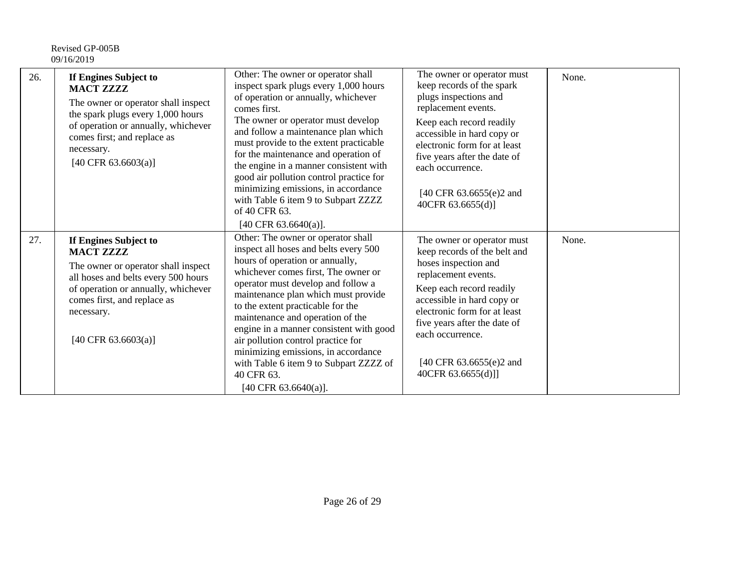| 26. | If Engines Subject to<br><b>MACT ZZZZ</b><br>The owner or operator shall inspect<br>the spark plugs every 1,000 hours<br>of operation or annually, whichever<br>comes first; and replace as<br>necessary.<br>[40 CFR 63.6603(a)]              | Other: The owner or operator shall<br>inspect spark plugs every 1,000 hours<br>of operation or annually, whichever<br>comes first.<br>The owner or operator must develop<br>and follow a maintenance plan which<br>must provide to the extent practicable<br>for the maintenance and operation of<br>the engine in a manner consistent with<br>good air pollution control practice for<br>minimizing emissions, in accordance<br>with Table 6 item 9 to Subpart ZZZZ<br>of 40 CFR 63.<br>[40 CFR 63.6640(a)].       | The owner or operator must<br>keep records of the spark<br>plugs inspections and<br>replacement events.<br>Keep each record readily<br>accessible in hard copy or<br>electronic form for at least<br>five years after the date of<br>each occurrence.<br>[40 CFR 63.6655(e)2 and<br>40CFR 63.6655(d)]    | None. |
|-----|-----------------------------------------------------------------------------------------------------------------------------------------------------------------------------------------------------------------------------------------------|---------------------------------------------------------------------------------------------------------------------------------------------------------------------------------------------------------------------------------------------------------------------------------------------------------------------------------------------------------------------------------------------------------------------------------------------------------------------------------------------------------------------|----------------------------------------------------------------------------------------------------------------------------------------------------------------------------------------------------------------------------------------------------------------------------------------------------------|-------|
| 27. | If Engines Subject to<br><b>MACT ZZZZ</b><br>The owner or operator shall inspect<br>all hoses and belts every 500 hours<br>of operation or annually, whichever<br>comes first, and replace as<br>necessary.<br>$[40 \text{ CFR } 63.6603(a)]$ | Other: The owner or operator shall<br>inspect all hoses and belts every 500<br>hours of operation or annually,<br>whichever comes first, The owner or<br>operator must develop and follow a<br>maintenance plan which must provide<br>to the extent practicable for the<br>maintenance and operation of the<br>engine in a manner consistent with good<br>air pollution control practice for<br>minimizing emissions, in accordance<br>with Table 6 item 9 to Subpart ZZZZ of<br>40 CFR 63.<br>[40 CFR 63.6640(a)]. | The owner or operator must<br>keep records of the belt and<br>hoses inspection and<br>replacement events.<br>Keep each record readily<br>accessible in hard copy or<br>electronic form for at least<br>five years after the date of<br>each occurrence.<br>[40 CFR 63.6655(e)2 and<br>40CFR 63.6655(d)]] | None. |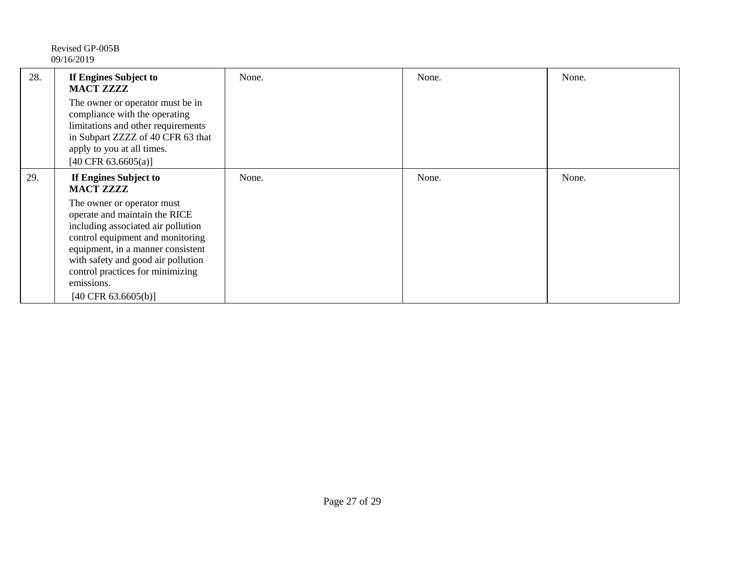| 28. | If Engines Subject to<br><b>MACT ZZZZ</b>                                                                                                                                                                                                                                                 | None. | None. | None. |
|-----|-------------------------------------------------------------------------------------------------------------------------------------------------------------------------------------------------------------------------------------------------------------------------------------------|-------|-------|-------|
|     | The owner or operator must be in<br>compliance with the operating<br>limitations and other requirements<br>in Subpart ZZZZ of 40 CFR 63 that<br>apply to you at all times.<br>$[40 \text{ CFR } 63.6605(a)]$                                                                              |       |       |       |
| 29. | If Engines Subject to<br><b>MACT ZZZZ</b>                                                                                                                                                                                                                                                 | None. | None. | None. |
|     | The owner or operator must<br>operate and maintain the RICE<br>including associated air pollution<br>control equipment and monitoring<br>equipment, in a manner consistent<br>with safety and good air pollution<br>control practices for minimizing<br>emissions.<br>[40 CFR 63.6605(b)] |       |       |       |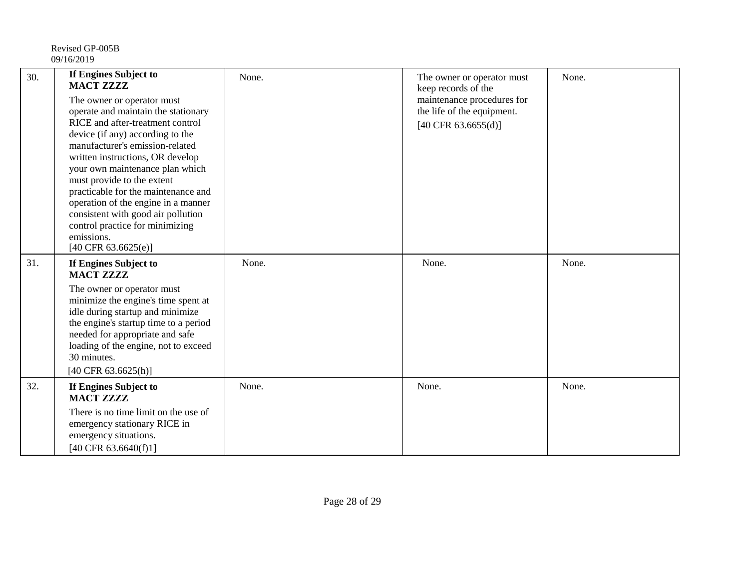| 30. | If Engines Subject to<br><b>MACT ZZZZ</b><br>The owner or operator must<br>operate and maintain the stationary<br>RICE and after-treatment control<br>device (if any) according to the<br>manufacturer's emission-related<br>written instructions, OR develop<br>your own maintenance plan which<br>must provide to the extent<br>practicable for the maintenance and<br>operation of the engine in a manner<br>consistent with good air pollution<br>control practice for minimizing<br>emissions.<br>[40 CFR 63.6625(e)] | None. | The owner or operator must<br>keep records of the<br>maintenance procedures for<br>the life of the equipment.<br>[40 CFR 63.6655(d)] | None. |
|-----|----------------------------------------------------------------------------------------------------------------------------------------------------------------------------------------------------------------------------------------------------------------------------------------------------------------------------------------------------------------------------------------------------------------------------------------------------------------------------------------------------------------------------|-------|--------------------------------------------------------------------------------------------------------------------------------------|-------|
| 31. | If Engines Subject to<br><b>MACT ZZZZ</b><br>The owner or operator must<br>minimize the engine's time spent at<br>idle during startup and minimize<br>the engine's startup time to a period<br>needed for appropriate and safe<br>loading of the engine, not to exceed<br>30 minutes.<br>$[40 \text{ CFR } 63.6625 \text{ (h)}]$                                                                                                                                                                                           | None. | None.                                                                                                                                | None. |
| 32. | If Engines Subject to<br><b>MACT ZZZZ</b><br>There is no time limit on the use of<br>emergency stationary RICE in<br>emergency situations.<br>[40 CFR 63.6640(f)1]                                                                                                                                                                                                                                                                                                                                                         | None. | None.                                                                                                                                | None. |